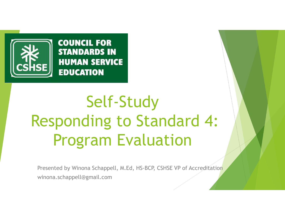

**COUNCIL FOR STANDARDS IN HUMAN SERVICE EDUCATION** 

## Self-Study Responding to Standard 4: Program Evaluation

Presented by Winona Schappell, M.Ed, HS-BCP, CSHSE VP of Accreditation winona.schappell@gmail.com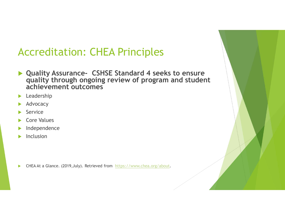## Accreditation: CHEA Principles

- Quality Assurance- CSHSE Standard 4 seeks to ensure quality through ongoing review of program and student achievement outcomes
- **Leadership**
- Advocacy
- Service
- Core Values
- Independence
- Inclusion

▶ CHEA At a Glance. (2019, July). Retrieved from https://www.chea.org/about.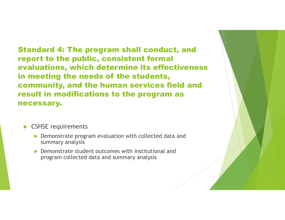Standard 4: The program shall conduct, and report to the public, consistent formal evaluations, which determine its effectiveness in meeting the needs of the students, community, and the human services field and result in modifications to the program as necessary.

## CSHSE requirements

- ▶ Demonstrate program evaluation with collected data and summary analysis
- ▶ Demonstrate student outcomes with institutional and program collected data and summary analysis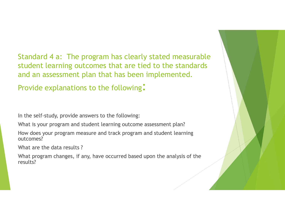Standard 4 a: The program has clearly stated measurable student learning outcomes that are tied to the standards and an assessment plan that has been implemented.

Provide explanations to the following:

In the self-study, provide answers to the following:

What is your program and student learning outcome assessment plan?

How does your program measure and track program and student learning outcomes?

What are the data results ?

What program changes, if any, have occurred based upon the analysis of the results?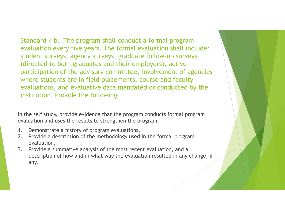Standard 4 b. The program shall conduct a formal program<br>evaluation every five years. The formal evaluation shall include:<br>student surveys, agency surveys, graduate follow-up surveys<br>(directed to both graduates and their e evaluation every five years. The formal evaluation shall include: student surveys, agency surveys, graduate follow-up surveys (directed to both graduates and their employers), active participation of the advisory committee, involvement of agencies where students are in field placements, course and faculty evaluations, and evaluative data mandated or conducted by the institution. Provide the following: Standard 4 b. The program shall conduct a formal prog-<br>evaluation every five years. The formal evaluation shal<br>student surveys, agency surveys, graduate follow-up su<br>(directed to both graduates and their employers), activ<br> Example a description every five years. The formal evaluation shall include:<br>
Student surveys, agency surveys, graduate follow-up surveys<br>
(directed to both graduates and their employers), active<br>
participation of the advi Student surveys, agency surveys, graduate follow-up surveys<br>
(directed to both graduates and their employers), active<br>
participation of the advisory committee, involvement of agencies<br>
where students are in field placement

In the self study, provide evidence that the program conducts formal program evaluation and uses the results to strengthen the program:

- 
- evaluation,
- description of how and in what way the evaluation resulted in any change, if any.